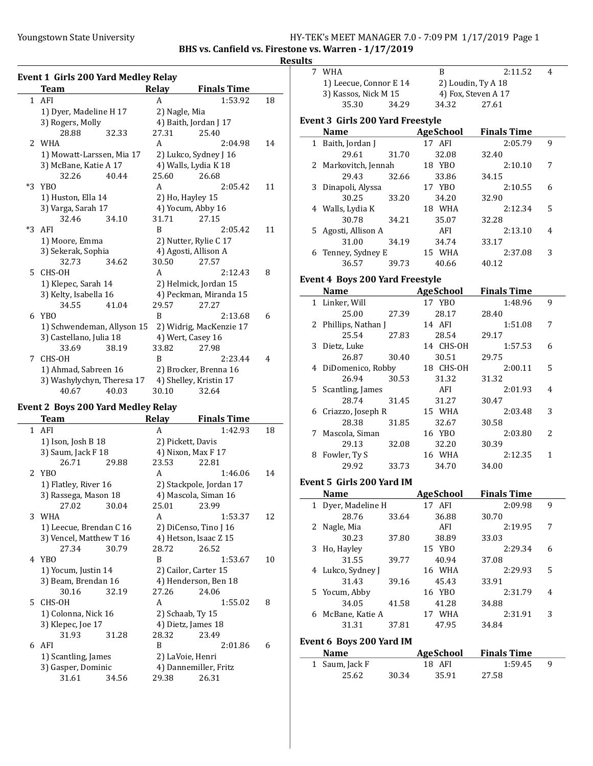$\overline{a}$ 

#### Youngstown State University The Management State University HY-TEK's MEET MANAGER 7.0 - 7:09 PM 1/17/2019 Page 1

BHS vs. Canfield vs. Firestone vs. Warren - 1/17/2019

**Results** 

|      | <b>Event 1 Girls 200 Yard Medley Relay</b> |       |                        |                         |    |
|------|--------------------------------------------|-------|------------------------|-------------------------|----|
|      | Team                                       |       | <b>Relay</b>           | <b>Finals Time</b>      |    |
|      | 1 AFI                                      |       | A                      | 1:53.92                 | 18 |
|      | 1) Dyer, Madeline H 17                     |       | 2) Nagle, Mia          |                         |    |
|      | 3) Rogers, Molly                           |       |                        | 4) Baith, Jordan J 17   |    |
|      | 28.88                                      | 32.33 | 27.31                  | 25.40                   |    |
| 2    | WHA                                        |       | A                      | 2:04.98                 | 14 |
|      | 1) Mowatt-Larssen, Mia 17                  |       |                        | 2) Lukco, Sydney J 16   |    |
|      | 3) McBane, Katie A 17                      |       |                        | 4) Walls, Lydia K 18    |    |
|      | 32.26                                      | 40.44 | 25.60                  | 26.68                   |    |
| $*3$ | YBO                                        |       | A                      | 2:05.42                 | 11 |
|      | 1) Huston, Ella 14                         |       |                        | 2) Ho, Hayley 15        |    |
|      | 3) Varga, Sarah 17                         |       |                        | 4) Yocum, Abby 16       |    |
|      | 32.46                                      | 34.10 | 31.71                  | 27.15                   |    |
| $*3$ | AFI                                        |       | B                      | 2:05.42                 | 11 |
|      | 1) Moore, Emma                             |       |                        | 2) Nutter, Rylie C 17   |    |
|      | 3) Sekerak, Sophia                         |       |                        | 4) Agosti, Allison A    |    |
|      | 32.73                                      | 34.62 | 30.50                  | 27.57                   |    |
| 5    | CHS-OH                                     |       | A                      | 2:12.43                 | 8  |
|      | 1) Klepec, Sarah 14                        |       |                        | 2) Helmick, Jordan 15   |    |
|      | 3) Kelty, Isabella 16                      |       | 4) Peckman, Miranda 15 |                         |    |
|      | 34.55                                      | 41.04 | 29.57                  | 27.27                   |    |
| 6    | YB <sub>0</sub>                            |       | B                      | 2:13.68                 | 6  |
|      | 1) Schwendeman, Allyson 15                 |       |                        | 2) Widrig, MacKenzie 17 |    |
|      | 3) Castellano, Julia 18                    |       |                        | 4) Wert, Casey 16       |    |
|      | 33.69                                      | 38.19 | 33.82                  | 27.98                   |    |
| 7    | CHS-OH                                     |       | B                      | 2:23.44                 | 4  |
|      | 1) Ahmad, Sabreen 16                       |       |                        | 2) Brocker, Brenna 16   |    |
|      | 3) Washylychyn, Theresa 17                 |       |                        | 4) Shelley, Kristin 17  |    |
|      | 40.67                                      | 40.03 | 30.10                  | 32.64                   |    |

# Event 2 Boys 200 Yard Medley Relay

|              | Team                    |       | <b>Relay</b>      | <b>Finals Time</b>      |    |
|--------------|-------------------------|-------|-------------------|-------------------------|----|
| $\mathbf{1}$ | AFI                     |       | A                 | 1:42.93                 | 18 |
|              | 1) Ison, Josh B 18      |       | 2) Pickett, Davis |                         |    |
|              | 3) Saum, Jack F 18      |       |                   | 4) Nixon, Max F 17      |    |
|              | 26.71                   | 29.88 | 23.53             | 22.81                   |    |
|              | 2 YBO                   |       | A                 | 1:46.06                 | 14 |
|              | 1) Flatley, River 16    |       |                   | 2) Stackpole, Jordan 17 |    |
|              | 3) Rassega, Mason 18    |       |                   | 4) Mascola, Siman 16    |    |
|              | 27.02                   | 30.04 | 25.01             | 23.99                   |    |
|              | 3 WHA                   |       | A                 | 1:53.37                 | 12 |
|              | 1) Leecue, Brendan C 16 |       |                   | 2) DiCenso, Tino J 16   |    |
|              | 3) Vencel, Matthew T 16 |       |                   | 4) Hetson, Isaac Z 15   |    |
|              | 27.34                   | 30.79 | 28.72             | 26.52                   |    |
|              | 4 YBO                   |       | R                 | 1:53.67                 | 10 |
|              | 1) Yocum, Justin 14     |       |                   | 2) Cailor, Carter 15    |    |
|              | 3) Beam, Brendan 16     |       |                   | 4) Henderson, Ben 18    |    |
|              | 30.16                   | 32.19 | 27.26             | 24.06                   |    |
|              | 5 CHS-OH                |       | A                 | 1:55.02                 | 8  |
|              | 1) Colonna, Nick 16     |       | 2) Schaab, Ty 15  |                         |    |
|              | 3) Klepec, Joe 17       |       |                   | 4) Dietz, James 18      |    |
|              | 31.93                   | 31.28 | 28.32             | 23.49                   |    |
|              | 6 AFI                   |       | B                 | 2:01.86                 | 6  |
|              | 1) Scantling, James     |       | 2) LaVoie, Henri  |                         |    |
|              | 3) Gasper, Dominic      |       |                   | 4) Dannemiller, Fritz   |    |
|              | 31.61                   | 34.56 | 29.38             | 26.31                   |    |

|   | 7 WHA                                   | B               | 2:11.52                      | 4 |  |
|---|-----------------------------------------|-----------------|------------------------------|---|--|
|   | 1) Leecue, Connor E 14                  |                 | 2) Loudin, Ty A 18           |   |  |
|   | 3) Kassos, Nick M 15                    |                 | 4) Fox, Steven A 17          |   |  |
|   | 35.30<br>34.29                          | 34.32           | 27.61                        |   |  |
|   | <b>Event 3 Girls 200 Yard Freestyle</b> |                 |                              |   |  |
|   | Name                                    | AgeSchool       | <b>Finals Time</b>           |   |  |
|   | 1 Baith, Jordan J                       | 17 AFI          | 2:05.79                      | 9 |  |
|   | 29.61<br>31.70                          | 32.08           | 32.40                        |   |  |
|   | 2 Markovitch, Jennah                    | 18 YBO          | 2:10.10                      | 7 |  |
|   | 29.43                                   |                 |                              |   |  |
|   | 32.66                                   | 33.86<br>17 YBO | 34.15<br>2:10.55             | 6 |  |
|   | 3 Dinapoli, Alyssa                      |                 |                              |   |  |
|   | 30.25<br>33.20                          | 34.20           | 32.90                        |   |  |
|   | 4 Walls, Lydia K                        | 18 WHA          | 2:12.34                      | 5 |  |
|   | 30.78<br>34.21                          | 35.07           | 32.28                        |   |  |
|   | 5 Agosti, Allison A                     | AFI             | 2:13.10                      | 4 |  |
|   | 31.00<br>34.19                          | 34.74           | 33.17                        |   |  |
|   | 6 Tenney, Sydney E                      | 15 WHA          | 2:37.08                      | 3 |  |
|   | 36.57<br>39.73                          | 40.66           | 40.12                        |   |  |
|   | <b>Event 4 Boys 200 Yard Freestyle</b>  |                 |                              |   |  |
|   | Name AgeSchool                          |                 | <b>Finals Time</b>           |   |  |
|   | 1 Linker, Will                          | 17 YBO          | 1:48.96                      | 9 |  |
|   | 25.00<br>27.39                          | 28.17           | 28.40                        |   |  |
|   | 2 Phillips, Nathan J                    | 14 AFI          | 1:51.08                      | 7 |  |
|   | 25.54<br>27.83                          | 28.54           | 29.17                        |   |  |
|   | 3 Dietz, Luke                           | 14 CHS-OH       | 1:57.53                      | 6 |  |
|   | 26.87<br>30.40                          | 30.51           | 29.75                        |   |  |
|   | 4 DiDomenico, Robby                     | 18 CHS-OH       | 2:00.11                      | 5 |  |
|   | 30.53<br>26.94                          | 31.32           | 31.32                        |   |  |
|   |                                         | AFI             | 2:01.93                      | 4 |  |
|   | 5 Scantling, James<br>28.74<br>31.45    | 31.27           | 30.47                        |   |  |
|   |                                         |                 |                              | 3 |  |
|   | 6 Criazzo, Joseph R                     | 15 WHA          | 2:03.48                      |   |  |
|   | 28.38<br>31.85                          | 32.67           | 30.58                        |   |  |
| 7 | Mascola, Siman                          | 16 YBO          | 2:03.80                      | 2 |  |
|   | 29.13<br>32.08                          | 32.20           | 30.39                        |   |  |
|   | 8 Fowler, Ty S                          | 16 WHA          | 2:12.35                      | 1 |  |
|   | 29.92<br>33.73                          | 34.70           | 34.00                        |   |  |
|   | Event 5 Girls 200 Yard IM               |                 |                              |   |  |
|   | <b>Name</b>                             |                 | <b>AgeSchool</b> Finals Time |   |  |
|   | 1 Dyer, Madeline H                      | 17 AFI          | 2:09.98                      | 9 |  |
|   | 28.76<br>33.64                          | 36.88           | 30.70                        |   |  |
| 2 | Nagle, Mia                              | AFI             | 2:19.95                      | 7 |  |
|   | 30.23<br>37.80                          | 38.89           | 33.03                        |   |  |
| 3 | Ho, Hayley                              | 15 YBO          | 2:29.34                      | 6 |  |
|   | 31.55<br>39.77                          | 40.94           | 37.08                        |   |  |
| 4 | Lukco, Sydney J                         | 16 WHA          | 2:29.93                      | 5 |  |
|   | 31.43<br>39.16                          | 45.43           | 33.91                        |   |  |
| 5 | Yocum, Abby                             | 16 YBO          | 2:31.79                      | 4 |  |
|   | 34.05<br>41.58                          | 41.28           | 34.88                        |   |  |
|   | 6 McBane, Katie A                       | 17 WHA          | 2:31.91                      | 3 |  |
|   | 31.31<br>37.81                          | 47.95           | 34.84                        |   |  |
|   |                                         |                 |                              |   |  |
|   | Event 6 Boys 200 Yard IM                |                 |                              |   |  |

| <b>Name</b>    |        | AgeSchool | <b>Finals Time</b> |  |
|----------------|--------|-----------|--------------------|--|
| 1 Saum, Jack F | 18 AFI |           | 1:59.45            |  |
| 25.62          | 30.34  | 35.91     | 27.58              |  |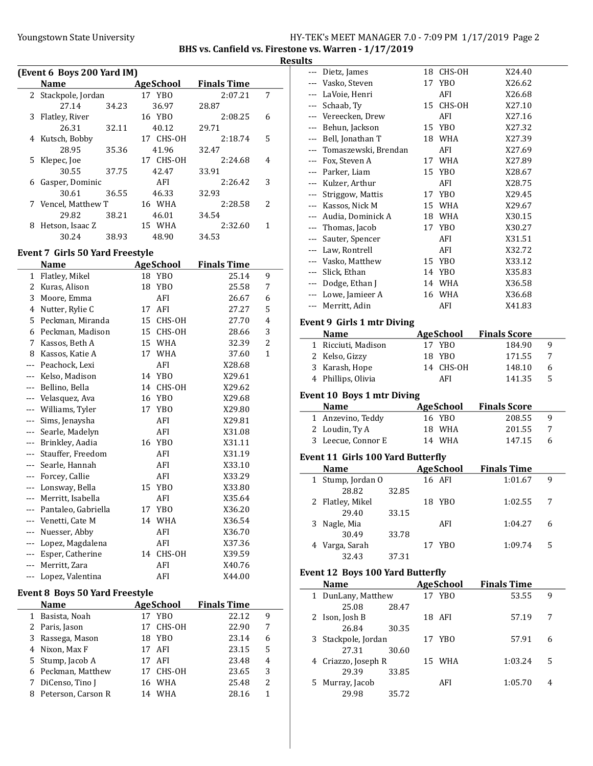# Youngstown State University The Magnostown State University HY-TEK's MEET MANAGER 7.0 - 7:09 PM 1/17/2019 Page 2

BHS vs. Canfield vs. Firestone vs. Warren - 1/17/2019

| Results |
|---------|
|---------|

|              |                                       |                       |                    | R              |
|--------------|---------------------------------------|-----------------------|--------------------|----------------|
|              | (Event 6 Boys 200 Yard IM)            |                       |                    |                |
|              | <b>Name</b>                           | <b>AgeSchool</b>      | <b>Finals Time</b> |                |
| $\mathbf{2}$ | Stackpole, Jordan                     | 17 YBO                | 2:07.21            | 7              |
|              | 27.14<br>34.23                        | 36.97                 | 28.87              |                |
| 3            | Flatley, River                        | 16 YBO                | 2:08.25            | 6              |
|              | 26.31<br>32.11                        | 40.12                 | 29.71              |                |
| 4            | Kutsch, Bobby                         | 17 CHS-OH             | 2:18.74            | 5              |
|              | 28.95<br>35.36                        | 41.96                 | 32.47              |                |
| 5            | Klepec, Joe                           | 17 CHS-OH             | 2:24.68            | 4              |
|              | 30.55<br>37.75                        | 42.47                 | 33.91              |                |
| 6            | Gasper, Dominic                       | AFI                   | 2:26.42            | 3              |
|              | 30.61<br>36.55                        | 46.33                 | 32.93              |                |
| 7            | Vencel, Matthew T                     | 16 WHA                | 2:28.58            | 2              |
|              | 29.82<br>38.21                        | 46.01                 | 34.54              |                |
| 8            | Hetson, Isaac Z                       | 15 WHA                | 2:32.60            | 1              |
|              | 30.24<br>38.93                        | 48.90                 | 34.53              |                |
|              | Event 7  Girls 50 Yard Freestyle      |                       |                    |                |
|              | <b>Name</b>                           | <b>AgeSchool</b>      | <b>Finals Time</b> |                |
| $\mathbf{1}$ | Flatley, Mikel                        | 18 YBO                | 25.14              | 9              |
| 2            | Kuras, Alison                         | 18<br>YBO             | 25.58              | 7              |
| 3            | Moore, Emma                           | AFI                   | 26.67              | 6              |
| 4            | Nutter, Rylie C                       | AFI<br>17             | 27.27              | 5              |
| 5            | Peckman, Miranda                      | CHS-OH<br>15          | 27.70              | 4              |
| 6            | Peckman, Madison                      | 15<br>CHS-OH          | 28.66              | 3              |
| 7            | Kassos, Beth A                        | 15 WHA                | 32.39              | $\overline{c}$ |
| 8            | Kassos, Katie A                       | 17<br><b>WHA</b>      | 37.60              | $\mathbf{1}$   |
| ---          | Peachock, Lexi                        | AFI                   | X28.68             |                |
| ---          | Kelso, Madison                        | 14 YBO                | X29.61             |                |
| ---          | Bellino, Bella                        | 14 CHS-OH             | X29.62             |                |
| ---          | Velasquez, Ava                        | 16 YBO                | X29.68             |                |
| ---          | Williams, Tyler                       | 17<br>YB <sub>0</sub> | X29.80             |                |
| ---          | Sims, Jenaysha                        | AFI                   | X29.81             |                |
| ---          | Searle, Madelyn                       | AFI                   | X31.08             |                |
| ---          | Brinkley, Aadia                       | 16 YBO                | X31.11             |                |
| ---          | Stauffer, Freedom                     | AFI                   | X31.19             |                |
|              |                                       | AFI                   |                    |                |
| ---          | Searle, Hannah<br>Forcey, Callie      | AFI                   | X33.10             |                |
| $--$         |                                       |                       | X33.29             |                |
| ---          | Lonsway, Bella                        | 15<br><b>YBO</b>      | X33.80             |                |
| $--$         | Merritt, Isabella                     | AFI                   | X35.64             |                |
|              | Pantaleo, Gabriella                   | YB <sub>0</sub><br>17 | X36.20             |                |
| ---          | Venetti, Cate M                       | WHA<br>14             | X36.54             |                |
| ---          | Nuesser, Abby                         | AFI                   | X36.70             |                |
| ---          | Lopez, Magdalena                      | AFI                   | X37.36             |                |
| $--$         | Esper, Catherine                      | 14 CHS-OH             | X39.59             |                |
| $---$        | Merritt, Zara                         | AFI                   | X40.76             |                |
| ---          | Lopez, Valentina                      | AFI                   | X44.00             |                |
|              | <b>Event 8 Boys 50 Yard Freestyle</b> |                       |                    |                |
|              | Name                                  | <b>AgeSchool</b>      | <b>Finals Time</b> |                |
| 1            | Basista, Noah                         | 17<br>YB <sub>0</sub> | 22.12              | 9              |
| 2            | Paris, Jason                          | CHS-OH<br>17          | 22.90              | 7              |
| 3            | Rassega, Mason                        | 18<br>YB <sub>0</sub> | 23.14              | 6              |
| 4            | Nixon, Max F                          | 17<br>AFI             | 23.15              | 5              |
| 5            | Stump, Jacob A                        | 17<br>AFI             | 23.48              | 4              |
| 6            | Peckman, Matthew                      | 17<br>CHS-OH          | 23.65              | 3              |
| 7            | DiCenso, Tino J                       | 16 WHA                | 25.48              | $\overline{c}$ |
| 8            | Peterson, Carson R                    | WHA<br>14             | 28.16              | $\mathbf{1}$   |
|              |                                       |                       |                    |                |
|              |                                       |                       |                    |                |

| ---   | Dietz, James                            |    | 18 CHS-OH                  | X24.40                        |   |
|-------|-----------------------------------------|----|----------------------------|-------------------------------|---|
| $---$ | Vasko, Steven                           | 17 | YBO                        | X26.62                        |   |
|       | --- LaVoie, Henri                       |    | AFI                        | X26.68                        |   |
|       | --- Schaab, Ty                          | 15 | CHS-OH                     | X27.10                        |   |
|       | --- Vereecken, Drew                     |    | AFI                        | X27.16                        |   |
|       | --- Behun, Jackson                      |    | 15 YBO                     | X27.32                        |   |
|       | --- Bell, Jonathan T                    |    | 18 WHA                     | X27.39                        |   |
|       | --- Tomaszewski, Brendan                |    | AFI                        | X27.69                        |   |
|       | --- Fox. Steven A                       |    | 17 WHA                     | X27.89                        |   |
|       | --- Parker, Liam                        | 15 | YBO                        | X28.67                        |   |
|       | --- Kulzer, Arthur                      |    | AFI                        | X28.75                        |   |
|       | --- Striggow, Mattis                    |    | 17 YBO                     | X29.45                        |   |
|       | --- Kassos, Nick M                      |    | 15 WHA                     | X29.67                        |   |
|       | --- Audia, Dominick A                   |    | 18 WHA                     | X30.15                        |   |
|       | --- Thomas, Jacob                       |    | 17 YBO                     | X30.27                        |   |
|       | --- Sauter, Spencer                     |    | AFI                        | X31.51                        |   |
|       | --- Law, Rontrell                       |    | AFI                        | X32.72                        |   |
|       | --- Vasko, Matthew                      |    | 15 YBO                     | X33.12                        |   |
|       | --- Slick, Ethan                        |    | 14 YBO                     | X35.83                        |   |
|       | --- Dodge, Ethan J                      |    | 14 WHA                     | X36.58                        |   |
|       | --- Lowe, Jamieer A                     | 16 | WHA                        | X36.68                        |   |
|       | --- Merritt, Adin                       |    | AFI                        | X41.83                        |   |
|       |                                         |    |                            |                               |   |
|       | <b>Event 9 Girls 1 mtr Diving</b>       |    |                            |                               |   |
|       | <b>Name</b>                             |    | <b>AgeSchool</b>           | <b>Finals Score</b>           |   |
|       | 1 Ricciuti, Madison                     |    | 17 YBO                     | 184.90                        | 9 |
|       | 2 Kelso, Gizzy                          | 18 | YBO                        | 171.55                        | 7 |
|       | 3 Karash, Hope                          |    | 14 CHS-OH                  | 148.10                        | 6 |
|       | 4 Phillips, Olivia                      |    | AFI                        | 141.35                        | 5 |
|       |                                         |    |                            |                               |   |
|       |                                         |    |                            |                               |   |
|       | <b>Event 10 Boys 1 mtr Diving</b>       |    |                            |                               |   |
|       | <b>Name</b>                             |    | <b>AgeSchool</b>           | <b>Finals Score</b>           |   |
| 1     | Anzevino, Teddy                         | 16 | YBO                        | 208.55                        | 9 |
|       | 2 Loudin, Ty A                          | 18 | WHA                        | 201.55                        | 7 |
|       | 3 Leecue, Connor E                      | 14 | WHA                        | 147.15                        | 6 |
|       |                                         |    |                            |                               |   |
|       | Event 11 Girls 100 Yard Butterfly       |    |                            |                               |   |
| 1     | <b>Name</b>                             |    | <b>AgeSchool</b><br>16 AFI | <b>Finals Time</b><br>1:01.67 | 9 |
|       | Stump, Jordan O<br>32.85                |    |                            |                               |   |
|       | 28.82<br>2 Flatley, Mikel               |    | 18 YBO                     | 1:02.55                       | 7 |
|       | 29.40                                   |    |                            |                               |   |
| 3     | 33.15<br>Nagle, Mia                     |    | AFI                        | 1:04.27                       | 6 |
|       | 30.49<br>33.78                          |    |                            |                               |   |
|       | 4 Varga, Sarah                          |    | 17 YBO                     | 1:09.74                       | 5 |
|       | 32.43<br>37.31                          |    |                            |                               |   |
|       |                                         |    |                            |                               |   |
|       | <b>Event 12 Boys 100 Yard Butterfly</b> |    |                            |                               |   |
|       | Name                                    |    | <b>AgeSchool</b>           | <b>Finals Time</b>            |   |
|       | 1 DunLany, Matthew                      |    | 17 YBO                     | 53.55                         | 9 |
|       | 25.08<br>28.47                          |    |                            |                               |   |
| 2     | Ison, Josh B                            |    | 18 AFI                     | 57.19                         | 7 |
|       | 26.84<br>30.35                          |    |                            |                               |   |
|       | 3 Stackpole, Jordan                     |    | 17 YBO                     | 57.91                         | 6 |
|       | 30.60<br>27.31                          |    |                            |                               |   |
| 4     | Criazzo, Joseph R                       |    | 15 WHA                     | 1:03.24                       | 5 |
|       | 29.39<br>33.85                          |    |                            |                               |   |
| 5     | Murray, Jacob<br>29.98<br>35.72         |    | AFI                        | 1:05.70                       | 4 |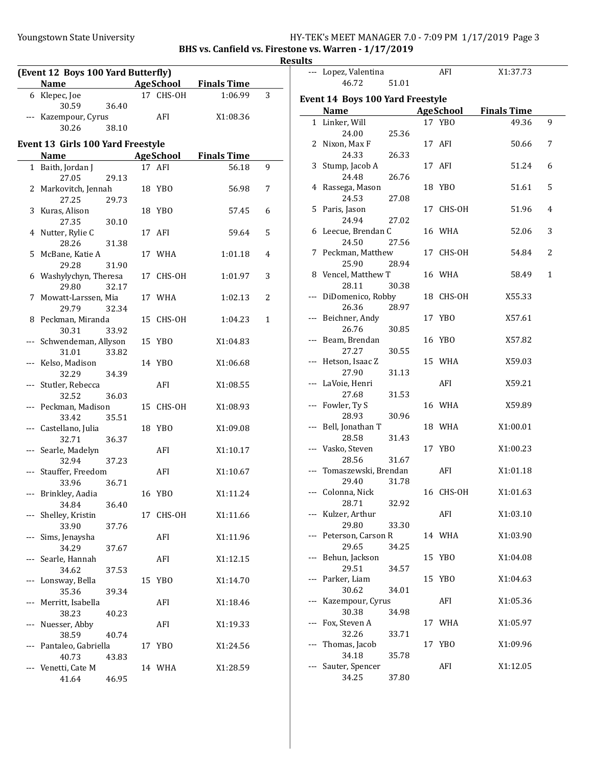#### Youngstown State University The Management State University HY-TEK's MEET MANAGER 7.0 - 7:09 PM 1/17/2019 Page 3

BHS vs. Canfield vs. Firestone vs. Warren - 1/17/2019 **Results** 

|          | (Event 12 Boys 100 Yard Butterfly) |       |    |                  |                    | R |
|----------|------------------------------------|-------|----|------------------|--------------------|---|
|          | <b>Name</b>                        |       |    | AgeSchool        | <b>Finals Time</b> |   |
|          | 6 Klepec, Joe                      |       |    | 17 CHS-OH        | 1:06.99            | 3 |
|          | 30.59                              | 36.40 |    |                  |                    |   |
|          | Kazempour, Cyrus                   |       |    | AFI              | X1:08.36           |   |
|          | 30.26                              | 38.10 |    |                  |                    |   |
|          | Event 13 Girls 100 Yard Freestyle  |       |    |                  |                    |   |
|          | <b>Name</b>                        |       |    | <b>AgeSchool</b> | <b>Finals Time</b> |   |
|          | 1 Baith, Jordan J                  |       |    | 17 AFI           | 56.18              | 9 |
|          | 27.05                              | 29.13 |    | 18 YBO           |                    |   |
|          | 2 Markovitch, Jennah<br>27.25      | 29.73 |    |                  | 56.98              | 7 |
| 3        | Kuras, Alison                      |       |    | 18 YBO           | 57.45              | 6 |
|          | 27.35                              | 30.10 |    |                  |                    |   |
|          | 4 Nutter, Rylie C                  |       |    | 17 AFI           | 59.64              | 5 |
|          | 28.26                              | 31.38 |    |                  |                    |   |
| 5        | McBane, Katie A                    |       |    | 17 WHA           | 1:01.18            | 4 |
|          | 29.28                              | 31.90 |    |                  |                    |   |
| 6        | Washylychyn, Theresa               |       |    | 17 CHS-OH        | 1:01.97            | 3 |
|          | 29.80                              | 32.17 |    |                  |                    |   |
| 7        | Mowatt-Larssen, Mia                |       |    | 17 WHA           | 1:02.13            | 2 |
|          | 29.79                              | 32.34 |    |                  |                    |   |
| 8        | Peckman, Miranda                   |       |    | 15 CHS-OH        | 1:04.23            | 1 |
|          | 30.31                              | 33.92 |    |                  |                    |   |
|          | Schwendeman, Allyson               |       |    | 15 YBO           | X1:04.83           |   |
|          | 31.01                              | 33.82 |    |                  |                    |   |
| ---      | Kelso, Madison                     |       |    | 14 YBO           | X1:06.68           |   |
|          | 32.29                              | 34.39 |    |                  |                    |   |
|          | Stutler, Rebecca                   |       |    | AFI              | X1:08.55           |   |
|          | 32.52                              | 36.03 |    |                  |                    |   |
|          | Peckman, Madison                   |       |    | 15 CHS-OH        | X1:08.93           |   |
|          | 33.42                              | 35.51 |    |                  |                    |   |
|          | Castellano, Julia                  |       |    | 18 YBO           | X1:09.08           |   |
|          | 32.71                              | 36.37 |    |                  |                    |   |
| $\cdots$ | Searle, Madelyn                    |       |    | AFI              | X1:10.17           |   |
|          | 32.94                              | 37.23 |    |                  |                    |   |
|          | Stauffer, Freedom                  |       |    | AFI              | X1:10.67           |   |
|          | 33.96                              | 36.71 |    |                  |                    |   |
|          | --- Brinkley, Aadia                |       |    | 16 YBO           | X1:11.24           |   |
|          | 34.84                              | 36.40 |    |                  |                    |   |
|          | Shelley, Kristin                   |       | 17 | CHS-OH           | X1:11.66           |   |
|          | 33.90                              | 37.76 |    |                  |                    |   |
| ---      | Sims, Jenaysha<br>34.29            |       |    | AFI              | X1:11.96           |   |
|          |                                    | 37.67 |    | AFI              | X1:12.15           |   |
| ---      | Searle, Hannah<br>34.62            |       |    |                  |                    |   |
| ---      | Lonsway, Bella                     | 37.53 |    | 15 YBO           | X1:14.70           |   |
|          | 35.36                              | 39.34 |    |                  |                    |   |
| ---      | Merritt, Isabella                  |       |    | AFI              | X1:18.46           |   |
|          | 38.23                              | 40.23 |    |                  |                    |   |
| $---$    | Nuesser, Abby                      |       |    | AFI              | X1:19.33           |   |
|          | 38.59                              | 40.74 |    |                  |                    |   |
| ---      | Pantaleo, Gabriella                |       |    | 17 YBO           | X1:24.56           |   |
|          | 40.73                              | 43.83 |    |                  |                    |   |
| $---$    | Venetti, Cate M                    |       |    | 14 WHA           | X1:28.59           |   |
|          | 41.64                              | 46.95 |    |                  |                    |   |

|    | --- Lopez, Valentina                    |       |    | AFI              | X1:37.73           |   |
|----|-----------------------------------------|-------|----|------------------|--------------------|---|
|    | 46.72                                   | 51.01 |    |                  |                    |   |
|    |                                         |       |    |                  |                    |   |
|    | <b>Event 14 Boys 100 Yard Freestyle</b> |       |    |                  |                    |   |
|    | <b>Name</b>                             |       |    | <b>AgeSchool</b> | <b>Finals Time</b> |   |
|    | 1 Linker, Will                          |       |    | 17 YBO           | 49.36              | 9 |
|    | 24.00                                   | 25.36 |    |                  |                    |   |
|    | 2 Nixon, Max F                          |       |    | 17 AFI           | 50.66              | 7 |
|    | 24.33                                   | 26.33 |    |                  |                    |   |
|    | 3 Stump, Jacob A                        |       |    | 17 AFI           | 51.24              | 6 |
|    | 24.48                                   | 26.76 |    |                  |                    |   |
|    | 4 Rassega, Mason                        |       |    | 18 YBO           | 51.61              | 5 |
|    | 24.53                                   | 27.08 |    |                  |                    |   |
| 5. | Paris, Jason                            |       |    | 17 CHS-OH        | 51.96              | 4 |
|    | 24.94                                   | 27.02 |    |                  |                    |   |
|    | 6 Leecue, Brendan C                     |       |    | 16 WHA           | 52.06              | 3 |
|    | 24.50                                   | 27.56 |    |                  |                    |   |
|    | 7 Peckman, Matthew                      |       |    | 17 CHS-OH        | 54.84              | 2 |
|    | 25.90                                   | 28.94 |    |                  |                    |   |
|    | 8 Vencel, Matthew T                     |       |    | 16 WHA           | 58.49              | 1 |
|    | 28.11                                   | 30.38 |    |                  |                    |   |
|    | --- DiDomenico, Robby                   |       |    | 18 CHS-OH        | X55.33             |   |
|    | 26.36                                   | 28.97 |    |                  |                    |   |
|    | --- Beichner, Andy                      |       |    | 17 YBO           | X57.61             |   |
|    | 26.76                                   | 30.85 |    |                  |                    |   |
|    | --- Beam, Brendan                       |       | 16 | YBO              | X57.82             |   |
|    | 27.27                                   | 30.55 |    |                  |                    |   |
|    | --- Hetson, Isaac Z                     |       |    | 15 WHA           | X59.03             |   |
|    | 27.90                                   | 31.13 |    |                  |                    |   |
|    | --- LaVoie, Henri                       |       |    | AFI              | X59.21             |   |
|    | 27.68                                   | 31.53 |    | 16 WHA           | X59.89             |   |
|    | --- Fowler, Ty S<br>28.93               | 30.96 |    |                  |                    |   |
|    | Bell, Jonathan T                        |       |    | 18 WHA           | X1:00.01           |   |
|    | 28.58                                   | 31.43 |    |                  |                    |   |
|    | --- Vasko, Steven                       |       |    | 17 YBO           | X1:00.23           |   |
|    | 28.56                                   | 31.67 |    |                  |                    |   |
|    | Tomaszewski, Brendan                    |       |    | AFI              | X1:01.18           |   |
|    | 29.40                                   | 31.78 |    |                  |                    |   |
|    | --- Colonna, Nick                       |       |    | 16 CHS-OH        | X1:01.63           |   |
|    | 28.71                                   | 32.92 |    |                  |                    |   |
|    | Kulzer, Arthur                          |       |    | AFI              | X1:03.10           |   |
|    | 29.80                                   | 33.30 |    |                  |                    |   |
|    | --- Peterson, Carson R                  |       |    | 14 WHA           | X1:03.90           |   |
|    | 29.65                                   | 34.25 |    |                  |                    |   |
|    | Behun, Jackson                          |       | 15 | YBO              | X1:04.08           |   |
|    | 29.51                                   | 34.57 |    |                  |                    |   |
|    | --- Parker, Liam                        |       | 15 | YBO              | X1:04.63           |   |
|    | 30.62                                   | 34.01 |    |                  |                    |   |
|    | Kazempour, Cyrus                        |       |    | AFI              | X1:05.36           |   |
|    | 30.38                                   | 34.98 |    |                  |                    |   |
|    | Fox, Steven A                           |       | 17 | WHA              | X1:05.97           |   |
|    | 32.26                                   | 33.71 |    |                  |                    |   |
|    | Thomas, Jacob                           |       | 17 | YBO              | X1:09.96           |   |
|    | 34.18                                   | 35.78 |    |                  |                    |   |
|    | Sauter, Spencer                         |       |    | AFI              | X1:12.05           |   |
|    | 34.25                                   | 37.80 |    |                  |                    |   |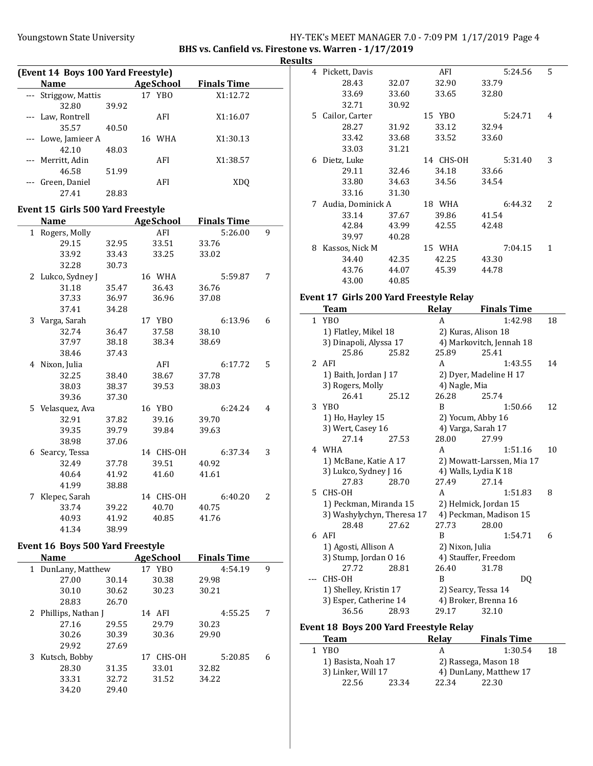# Youngstown State University The Management State University HY-TEK's MEET MANAGER 7.0 - 7:09 PM 1/17/2019 Page 4

BHS vs. Canfield vs. Firestone vs. Warren - 1/17/2019 **Results** 

| (Event 14 Boys 100 Yard Freestyle) |                     |       |  |           |                    |  |
|------------------------------------|---------------------|-------|--|-----------|--------------------|--|
|                                    | <b>Name</b>         |       |  | AgeSchool | <b>Finals Time</b> |  |
|                                    | Striggow, Mattis    |       |  | 17 YBO    | X1:12.72           |  |
|                                    | 32.80               | 39.92 |  |           |                    |  |
|                                    | Law, Rontrell       |       |  | AFI       | X1:16.07           |  |
|                                    | 35.57               | 40.50 |  |           |                    |  |
|                                    | --- Lowe, Jamieer A |       |  | 16 WHA    | X1:30.13           |  |
|                                    | 42.10               | 48.03 |  |           |                    |  |
|                                    | --- Merritt, Adin   |       |  | AFI       | X1:38.57           |  |
|                                    | 46.58               | 51.99 |  |           |                    |  |
|                                    | Green, Daniel       |       |  | AFI       | XDO                |  |
|                                    | 27.41               | 28.83 |  |           |                    |  |

#### Event 15 Girls 500 Yard Freestyle

|    | <b>Name</b>     |       | <b>AgeSchool</b> | <b>Finals Time</b> |   |
|----|-----------------|-------|------------------|--------------------|---|
|    | 1 Rogers, Molly |       | AFI              | 5:26.00            | 9 |
|    | 29.15           | 32.95 | 33.51            | 33.76              |   |
|    | 33.92           | 33.43 | 33.25            | 33.02              |   |
|    | 32.28           | 30.73 |                  |                    |   |
| 2  | Lukco, Sydney J |       | 16 WHA           | 5:59.87            | 7 |
|    | 31.18           | 35.47 | 36.43            | 36.76              |   |
|    | 37.33           | 36.97 | 36.96            | 37.08              |   |
|    | 37.41           | 34.28 |                  |                    |   |
| 3  | Varga, Sarah    |       | 17 YBO           | 6:13.96            | 6 |
|    | 32.74           | 36.47 | 37.58            | 38.10              |   |
|    | 37.97           | 38.18 | 38.34            | 38.69              |   |
|    | 38.46           | 37.43 |                  |                    |   |
| 4  | Nixon, Julia    |       | AFI              | 6:17.72            | 5 |
|    | 32.25           | 38.40 | 38.67            | 37.78              |   |
|    | 38.03           | 38.37 | 39.53            | 38.03              |   |
|    | 39.36           | 37.30 |                  |                    |   |
| 5. | Velasquez, Ava  |       | 16 YBO           | 6:24.24            | 4 |
|    | 32.91           | 37.82 | 39.16            | 39.70              |   |
|    | 39.35           | 39.79 | 39.84            | 39.63              |   |
|    | 38.98           | 37.06 |                  |                    |   |
| 6  | Searcy, Tessa   |       | 14 CHS-OH        | 6:37.34            | 3 |
|    | 32.49           | 37.78 | 39.51            | 40.92              |   |
|    | 40.64           | 41.92 | 41.60            | 41.61              |   |
|    | 41.99           | 38.88 |                  |                    |   |
| 7  | Klepec, Sarah   |       | 14 CHS-OH        | 6:40.20            | 2 |
|    | 33.74           | 39.22 | 40.70            | 40.75              |   |
|    | 40.93           | 41.92 | 40.85            | 41.76              |   |
|    | 41.34           | 38.99 |                  |                    |   |

## Event 16 Boys 500 Yard Freestyle

| <b>Name</b>              |       | <b>AgeSchool</b> | <b>Finals Time</b> |   |
|--------------------------|-------|------------------|--------------------|---|
| DunLany, Matthew<br>1    |       | 17 YBO           | 4:54.19            | 9 |
| 27.00                    | 30.14 | 30.38            | 29.98              |   |
| 30.10                    | 30.62 | 30.23            | 30.21              |   |
| 28.83                    | 26.70 |                  |                    |   |
| Phillips, Nathan J<br>2. |       | 14 AFI           | 4:55.25            | 7 |
| 27.16                    | 29.55 | 29.79            | 30.23              |   |
| 30.26                    | 30.39 | 30.36            | 29.90              |   |
| 29.92                    | 27.69 |                  |                    |   |
| Kutsch, Bobby<br>3.      |       | 17 CHS-OH        | 5:20.85            | 6 |
| 28.30                    | 31.35 | 33.01            | 32.82              |   |
| 33.31                    | 32.72 | 31.52            | 34.22              |   |
| 34.20                    | 29.40 |                  |                    |   |

| 4  | Pickett, Davis    |       | AFI       | 5:24.56 | 5                        |
|----|-------------------|-------|-----------|---------|--------------------------|
|    | 28.43             | 32.07 | 32.90     | 33.79   |                          |
|    | 33.69             | 33.60 | 33.65     | 32.80   |                          |
|    | 32.71             | 30.92 |           |         |                          |
| 5. | Cailor, Carter    |       | 15 YBO    | 5:24.71 | 4                        |
|    | 28.27             | 31.92 | 33.12     | 32.94   |                          |
|    | 33.42             | 33.68 | 33.52     | 33.60   |                          |
|    | 33.03             | 31.21 |           |         |                          |
| 6  | Dietz, Luke       |       | 14 CHS-OH | 5:31.40 | 3                        |
|    | 29.11             | 32.46 | 34.18     | 33.66   |                          |
|    | 33.80             | 34.63 | 34.56     | 34.54   |                          |
|    | 33.16             | 31.30 |           |         |                          |
| 7  | Audia, Dominick A |       | 18 WHA    | 6:44.32 | $\overline{\mathcal{L}}$ |
|    | 33.14             | 37.67 | 39.86     | 41.54   |                          |
|    | 42.84             | 43.99 | 42.55     | 42.48   |                          |
|    | 39.97             | 40.28 |           |         |                          |
| 8  | Kassos, Nick M    |       | 15 WHA    | 7:04.15 | 1                        |
|    | 34.40             | 42.35 | 42.25     | 43.30   |                          |
|    | 43.76             | 44.07 | 45.39     | 44.78   |                          |
|    | 43.00             | 40.85 |           |         |                          |

#### Event 17 Girls 200 Yard Freestyle Relay

|             | Team                       |       | Relay           | <b>Finals Time</b>        |    |
|-------------|----------------------------|-------|-----------------|---------------------------|----|
| 1           | YB <sub>0</sub>            |       | A               | 1:42.98                   | 18 |
|             | 1) Flatley, Mikel 18       |       |                 | 2) Kuras, Alison 18       |    |
|             | 3) Dinapoli, Alyssa 17     |       |                 | 4) Markovitch, Jennah 18  |    |
|             | 25.86                      | 25.82 | 25.89           | 25.41                     |    |
| $2^{\circ}$ | AFI                        |       | A               | 1:43.55                   | 14 |
|             | 1) Baith, Jordan J 17      |       |                 | 2) Dyer, Madeline H 17    |    |
|             | 3) Rogers, Molly           |       | 4) Nagle, Mia   |                           |    |
|             | 26.41                      | 25.12 | 26.28           | 25.74                     |    |
| 3           | YBO                        |       | R               | 1:50.66                   | 12 |
|             | 1) Ho, Hayley 15           |       |                 | 2) Yocum, Abby 16         |    |
|             | 3) Wert, Casey 16          |       |                 | 4) Varga, Sarah 17        |    |
|             | 27.14                      | 27.53 | 28.00           | 27.99                     |    |
|             | 4 WHA                      |       | A               | 1:51.16                   | 10 |
|             | 1) McBane, Katie A 17      |       |                 | 2) Mowatt-Larssen, Mia 17 |    |
|             | 3) Lukco, Sydney J 16      |       |                 | 4) Walls, Lydia K 18      |    |
|             | 27.83                      | 28.70 | 27.49           | 27.14                     |    |
|             | 5 CHS-OH                   |       | A               | 1:51.83                   | 8  |
|             | 1) Peckman, Miranda 15     |       |                 | 2) Helmick, Jordan 15     |    |
|             | 3) Washylychyn, Theresa 17 |       |                 | 4) Peckman, Madison 15    |    |
|             | 28.48                      | 27.62 | 27.73           | 28.00                     |    |
|             | 6 AFI                      |       | B               | 1:54.71                   | 6  |
|             | 1) Agosti, Allison A       |       | 2) Nixon, Julia |                           |    |
|             | 3) Stump, Jordan 0 16      |       |                 | 4) Stauffer, Freedom      |    |
|             | 27.72                      | 28.81 | 26.40           | 31.78                     |    |
|             | CHS-OH                     |       | B               | DQ                        |    |
|             | 1) Shelley, Kristin 17     |       |                 | 2) Searcy, Tessa 14       |    |
|             | 3) Esper, Catherine 14     |       |                 | 4) Broker, Brenna 16      |    |
|             | 36.56                      | 28.93 | 29.17           | 32.10                     |    |

#### Event 18 Boys 200 Yard Freestyle Relay

 $\frac{1}{2}$ 

| <b>Team</b>         |       | Relay                | <b>Finals Time</b>     |    |
|---------------------|-------|----------------------|------------------------|----|
| 1 YBO               |       |                      | 1:30.54                | 18 |
| 1) Basista, Noah 17 |       | 2) Rassega, Mason 18 |                        |    |
| 3) Linker, Will 17  |       |                      | 4) DunLany, Matthew 17 |    |
| 22.56               | 23.34 | 22.34                | 22.30                  |    |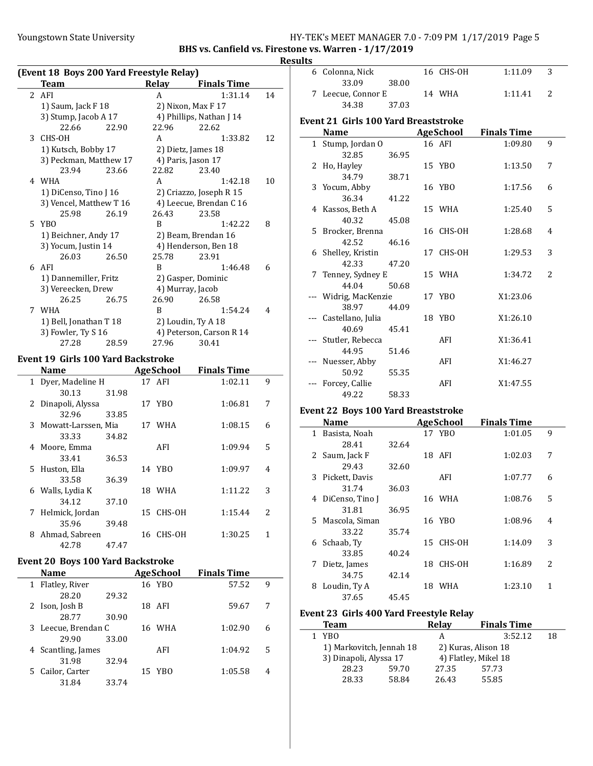#### Youngstown State University The Management State University HY-TEK's MEET MANAGER 7.0 - 7:09 PM 1/17/2019 Page 5

#### BHS vs. Canfield vs. Firestone vs. Warren - 1/17/2019 **Results**

|   | (Event 18 Boys 200 Yard Freestyle Relay) |       |                     |                          |    |
|---|------------------------------------------|-------|---------------------|--------------------------|----|
|   | Team                                     |       | Relay               | <b>Finals Time</b>       |    |
|   | 2 AFI                                    |       | A                   | 1:31.14                  | 14 |
|   | 1) Saum, Jack F 18                       |       |                     | 2) Nixon, Max F 17       |    |
|   | 3) Stump, Jacob A 17                     |       |                     | 4) Phillips, Nathan J 14 |    |
|   | 22.66                                    | 22.90 | 22.96               | 22.62                    |    |
| 3 | CHS-OH                                   |       | A                   | 1:33.82                  | 12 |
|   | 1) Kutsch, Bobby 17                      |       |                     | 2) Dietz, James 18       |    |
|   | 3) Peckman, Matthew 17                   |       |                     | 4) Paris, Jason 17       |    |
|   | 23.94                                    | 23.66 | 22.82               | 23.40                    |    |
|   | 4 WHA                                    |       | A                   | 1:42.18                  | 10 |
|   | 1) DiCenso, Tino J 16                    |       |                     | 2) Criazzo, Joseph R 15  |    |
|   | 3) Vencel, Matthew T 16                  |       |                     | 4) Leecue, Brendan C 16  |    |
|   | 25.98                                    | 26.19 | 26.43               | 23.58                    |    |
|   | 5 YBO                                    |       | R                   | 1:42.22                  | 8  |
|   | 1) Beichner, Andy 17                     |       | 2) Beam, Brendan 16 |                          |    |
|   | 3) Yocum, Justin 14                      |       |                     | 4) Henderson, Ben 18     |    |
|   | 26.03                                    | 26.50 | 25.78               | 23.91                    |    |
|   | 6 AFI                                    |       | B                   | 1:46.48                  | 6  |
|   | 1) Dannemiller, Fritz                    |       |                     | 2) Gasper, Dominic       |    |
|   | 3) Vereecken, Drew                       |       |                     | 4) Murray, Jacob         |    |
|   | 26.25                                    | 26.75 | 26.90               | 26.58                    |    |
| 7 | WHA                                      |       | R                   | 1:54.24                  | 4  |
|   | 1) Bell, Jonathan T 18                   |       |                     | 2) Loudin, Ty A 18       |    |
|   | 3) Fowler, Ty S 16                       |       |                     | 4) Peterson, Carson R 14 |    |
|   | 27.28                                    | 28.59 | 27.96               | 30.41                    |    |

## Event 19 Girls 100 Yard Backstroke

 $\overline{a}$ 

|   | <b>Name</b>           |       | <b>AgeSchool</b> | <b>Finals Time</b> |                          |
|---|-----------------------|-------|------------------|--------------------|--------------------------|
|   | 1 Dyer, Madeline H    |       | 17 AFI           | 1:02.11            | 9                        |
|   | 30.13                 | 31.98 |                  |                    |                          |
|   | 2 Dinapoli, Alyssa    |       | 17 YBO           | 1:06.81            | 7                        |
|   | 32.96                 | 33.85 |                  |                    |                          |
|   | 3 Mowatt-Larssen, Mia |       | 17 WHA           | 1:08.15            | 6                        |
|   | 33.33                 | 34.82 |                  |                    |                          |
| 4 | Moore, Emma           |       | AFI              | 1:09.94            | 5                        |
|   | 33.41                 | 36.53 |                  |                    |                          |
|   | 5 Huston, Ella        |       | 14 YBO           | 1:09.97            | 4                        |
|   | 33.58                 | 36.39 |                  |                    |                          |
| 6 | Walls, Lydia K        |       | 18 WHA           | 1:11.22            | 3                        |
|   | 34.12                 | 37.10 |                  |                    |                          |
| 7 | Helmick, Jordan       |       | 15 CHS-OH        | 1:15.44            | $\overline{\mathcal{L}}$ |
|   | 35.96                 | 39.48 |                  |                    |                          |
| 8 | Ahmad, Sabreen        |       | 16 CHS-OH        | 1:30.25            | 1                        |
|   | 42.78                 | 47.47 |                  |                    |                          |

#### Event 20 Boys 100 Yard Backstroke

| <b>Name</b>         |       | <b>AgeSchool</b> | <b>Finals Time</b> |   |  |
|---------------------|-------|------------------|--------------------|---|--|
| 1 Flatley, River    |       | 16 YBO           | 57.52              | 9 |  |
| 28.20               | 29.32 |                  |                    |   |  |
| 2 Ison, Josh B      |       | 18 AFI           | 59.67              | 7 |  |
| 28.77               | 30.90 |                  |                    |   |  |
| 3 Leecue, Brendan C |       | 16 WHA           | 1:02.90            | 6 |  |
| 29.90               | 33.00 |                  |                    |   |  |
| 4 Scantling, James  |       | AFI              | 1:04.92            | 5 |  |
| 31.98               | 32.94 |                  |                    |   |  |
| 5 Cailor, Carter    |       | 15 YBO           | 1:05.58            | 4 |  |
| 31.84               | 33.74 |                  |                    |   |  |

| . |                    |       |           |         |    |  |
|---|--------------------|-------|-----------|---------|----|--|
|   | 6 Colonna, Nick    |       | 16 CHS-OH | 1:11.09 | ्र |  |
|   | 33.09              | 38.00 |           |         |    |  |
|   | 7 Leecue, Connor E |       | 14 WHA    | 1.1141  |    |  |
|   | 34.38              | 37.03 |           |         |    |  |

# Event 21 Girls 100 Yard Breaststroke

| Name                  |       | <b>AgeSchool</b> | <b>Finals Time</b> |                |
|-----------------------|-------|------------------|--------------------|----------------|
| 1 Stump, Jordan O     |       | 16 AFI           | 1:09.80            | 9              |
| 32.85                 | 36.95 |                  |                    |                |
| 2 Ho, Hayley          |       | 15 YBO           | 1:13.50            | 7              |
| 34.79                 | 38.71 |                  |                    |                |
| 3 Yocum, Abby         |       | 16 YBO           | 1:17.56            | 6              |
| 36.34                 | 41.22 |                  |                    |                |
| 4 Kassos, Beth A      |       | 15 WHA           | 1:25.40            | 5              |
| 40.32                 | 45.08 |                  |                    |                |
| 5 Brocker, Brenna     |       | 16 CHS-OH        | 1:28.68            | 4              |
| 42.52                 | 46.16 |                  |                    |                |
| 6 Shelley, Kristin    |       | 17 CHS-OH        | 1:29.53            | 3              |
| 42.33                 | 47.20 |                  |                    |                |
| 7 Tenney, Sydney E    |       | 15 WHA           | 1:34.72            | $\overline{c}$ |
| 44.04                 | 50.68 |                  |                    |                |
| --- Widrig, MacKenzie |       | 17 YBO           | X1:23.06           |                |
| 38.97                 | 44.09 |                  |                    |                |
| --- Castellano, Julia |       | 18 YBO           | X1:26.10           |                |
| 40.69                 | 45.41 |                  |                    |                |
| --- Stutler, Rebecca  |       | AFI              | X1:36.41           |                |
| 44.95                 | 51.46 |                  |                    |                |
| --- Nuesser, Abby     |       | AFI              | X1:46.27           |                |
| 50.92                 | 55.35 |                  |                    |                |
| Forcey, Callie        |       | AFI              | X1:47.55           |                |
| 49.22                 | 58.33 |                  |                    |                |

#### Event 22 Boys 100 Yard Breaststroke

|              | Name              |       |    | AgeSchool  | <b>Finals Time</b> |                |
|--------------|-------------------|-------|----|------------|--------------------|----------------|
| $\mathbf{1}$ | Basista, Noah     |       |    | 17 YBO     | 1:01.05            | 9              |
|              | 28.41             | 32.64 |    |            |                    |                |
|              | 2 Saum, Jack F    |       |    | 18 AFI     | 1:02.03            | 7              |
|              | 29.43             | 32.60 |    |            |                    |                |
|              | 3 Pickett, Davis  |       |    | AFI        | 1:07.77            | 6              |
|              | 31.74             | 36.03 |    |            |                    |                |
|              | 4 DiCenso, Tino J |       |    | 16 WHA     | 1:08.76            | 5              |
|              | 31.81             | 36.95 |    |            |                    |                |
|              | 5 Mascola, Siman  |       |    | 16 YBO     | 1:08.96            | 4              |
|              | 33.22             | 35.74 |    |            |                    |                |
| 6            | Schaab, Ty        |       |    | 15 CHS-OH  | 1:14.09            | 3              |
|              | 33.85             | 40.24 |    |            |                    |                |
| 7            | Dietz, James      |       | 18 | CHS-OH     | 1:16.89            | $\overline{c}$ |
|              | 34.75             | 42.14 |    |            |                    |                |
| 8            | Loudin, Ty A      |       | 18 | <b>WHA</b> | 1:23.10            | 1              |
|              | 37.65             | 45.45 |    |            |                    |                |

#### Event 23 Girls 400 Yard Freestyle Relay

| <b>Team</b>              |       | Relay | <b>Finals Time</b>   |    |
|--------------------------|-------|-------|----------------------|----|
| 1 YBO                    |       | А     | 3:52.12              | 18 |
| 1) Markovitch, Jennah 18 |       |       | 2) Kuras, Alison 18  |    |
| 3) Dinapoli, Alyssa 17   |       |       | 4) Flatley, Mikel 18 |    |
| 28.23                    | 59.70 | 27.35 | 57.73                |    |
| 28.33                    | 58.84 | 26.43 | 55.85                |    |